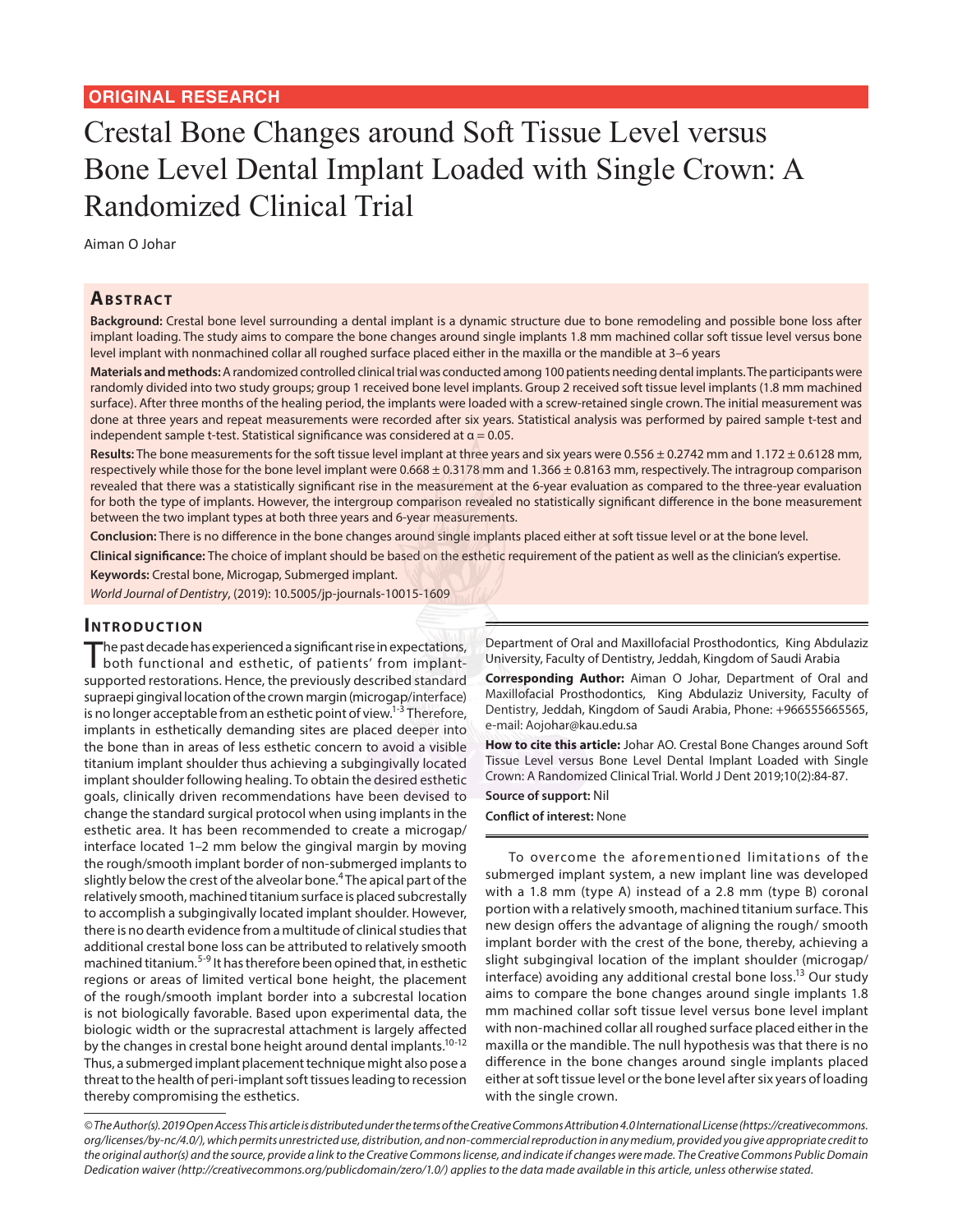# Crestal Bone Changes around Soft Tissue Level versus Bone Level Dental Implant Loaded with Single Crown: A Randomized Clinical Trial

Aiman O Johar

# **Ab s t rac t**

**Background:** Crestal bone level surrounding a dental implant is a dynamic structure due to bone remodeling and possible bone loss after implant loading. The study aims to compare the bone changes around single implants 1.8 mm machined collar soft tissue level versus bone level implant with nonmachined collar all roughed surface placed either in the maxilla or the mandible at 3–6 years

**Materials and methods:** A randomized controlled clinical trial was conducted among 100 patients needing dental implants. The participants were randomly divided into two study groups; group 1 received bone level implants. Group 2 received soft tissue level implants (1.8 mm machined surface). After three months of the healing period, the implants were loaded with a screw-retained single crown. The initial measurement was done at three years and repeat measurements were recorded after six years. Statistical analysis was performed by paired sample t-test and independent sample t-test. Statistical significance was considered at  $\alpha$  = 0.05.

Results: The bone measurements for the soft tissue level implant at three years and six years were 0.556 ± 0.2742 mm and 1.172 ± 0.6128 mm, respectively while those for the bone level implant were  $0.668 \pm 0.3178$  mm and  $1.366 \pm 0.8163$  mm, respectively. The intragroup comparison revealed that there was a statistically significant rise in the measurement at the 6-year evaluation as compared to the three-year evaluation for both the type of implants. However, the intergroup comparison revealed no statistically significant difference in the bone measurement between the two implant types at both three years and 6-year measurements.

**Conclusion:** There is no difference in the bone changes around single implants placed either at soft tissue level or at the bone level.

**Clinical significance:** The choice of implant should be based on the esthetic requirement of the patient as well as the clinician's expertise.

**Keywords:** Crestal bone, Microgap, Submerged implant.

*World Journal of Dentistry*, (2019): 10.5005/jp-journals-10015-1609

# **INTRODUCTION**

The past decade has experienced a significant rise in expectations, both functional and esthetic, of patients' from implantsupported restorations. Hence, the previously described standard supraepi gingival location of the crown margin (microgap/interface) is no longer acceptable from an esthetic point of view.<sup>1-3</sup> Therefore, implants in esthetically demanding sites are placed deeper into the bone than in areas of less esthetic concern to avoid a visible titanium implant shoulder thus achieving a subgingivally located implant shoulder following healing. To obtain the desired esthetic goals, clinically driven recommendations have been devised to change the standard surgical protocol when using implants in the esthetic area. It has been recommended to create a microgap/ interface located 1–2 mm below the gingival margin by moving the rough/smooth implant border of non-submerged implants to slightly below the crest of the alveolar bone.<sup>4</sup> The apical part of the relatively smooth, machined titanium surface is placed subcrestally to accomplish a subgingivally located implant shoulder. However, there is no dearth evidence from a multitude of clinical studies that additional crestal bone loss can be attributed to relatively smooth machined titanium.5-9 It has therefore been opined that, in esthetic regions or areas of limited vertical bone height, the placement of the rough/smooth implant border into a subcrestal location is not biologically favorable. Based upon experimental data, the biologic width or the supracrestal attachment is largely affected by the changes in crestal bone height around dental implants.<sup>10-12</sup> Thus, a submerged implant placement technique might also pose a threat to the health of peri-implant soft tissues leading to recession thereby compromising the esthetics.

Department of Oral and Maxillofacial Prosthodontics, King Abdulaziz University, Faculty of Dentistry, Jeddah, Kingdom of Saudi Arabia

**Corresponding Author:** Aiman O Johar, Department of Oral and Maxillofacial Prosthodontics, King Abdulaziz University, Faculty of Dentistry, Jeddah, Kingdom of Saudi Arabia, Phone: +966555665565, e-mail: Aojohar@kau.edu.sa

**How to cite this article:** Johar AO. Crestal Bone Changes around Soft Tissue Level versus Bone Level Dental Implant Loaded with Single Crown: A Randomized Clinical Trial. World J Dent 2019;10(2):84-87.

**Source of support:** Nil

**Conflict of interest:** None

To overcome the aforementioned limitations of the submerged implant system, a new implant line was developed with a 1.8 mm (type A) instead of a 2.8 mm (type B) coronal portion with a relatively smooth, machined titanium surface. This new design offers the advantage of aligning the rough/ smooth implant border with the crest of the bone, thereby, achieving a slight subgingival location of the implant shoulder (microgap/ interface) avoiding any additional crestal bone loss.<sup>13</sup> Our study aims to compare the bone changes around single implants 1.8 mm machined collar soft tissue level versus bone level implant with non-machined collar all roughed surface placed either in the maxilla or the mandible. The null hypothesis was that there is no difference in the bone changes around single implants placed either at soft tissue level or the bone level after six years of loading with the single crown.

*© The Author(s). 2019 Open Access This article is distributed under the terms of the Creative Commons Attribution 4.0 International License (https://creativecommons. org/licenses/by-nc/4.0/), which permits unrestricted use, distribution, and non-commercial reproduction in any medium, provided you give appropriate credit to the original author(s) and the source, provide a link to the Creative Commons license, and indicate if changes were made. The Creative Commons Public Domain Dedication waiver (http://creativecommons.org/publicdomain/zero/1.0/) applies to the data made available in this article, unless otherwise stated.*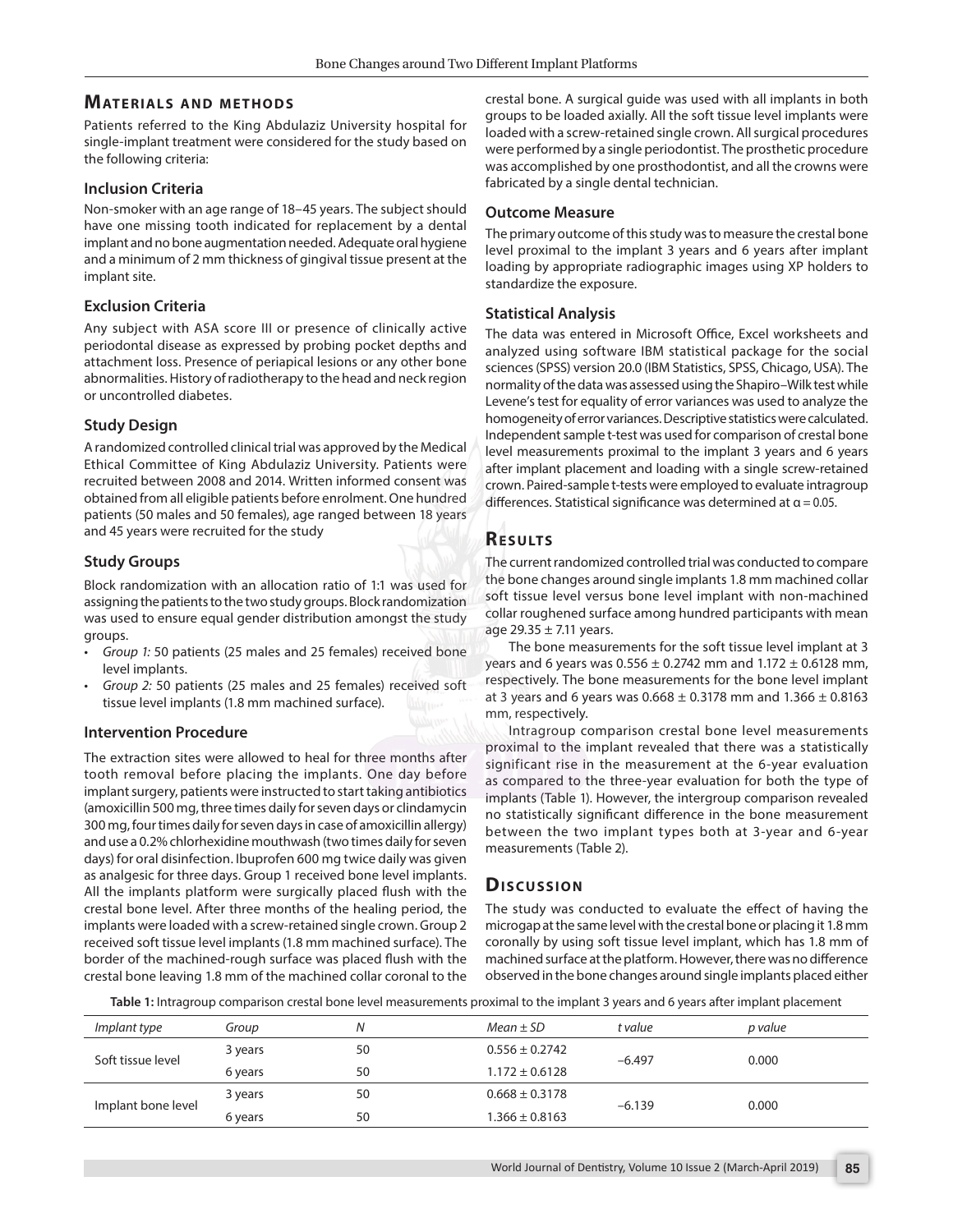# **MATERIALS AND METHODS**

Patients referred to the King Abdulaziz University hospital for single-implant treatment were considered for the study based on the following criteria:

#### **Inclusion Criteria**

Non-smoker with an age range of 18–45 years. The subject should have one missing tooth indicated for replacement by a dental implant and no bone augmentation needed. Adequate oral hygiene and a minimum of 2 mm thickness of gingival tissue present at the implant site.

#### **Exclusion Criteria**

Any subject with ASA score III or presence of clinically active periodontal disease as expressed by probing pocket depths and attachment loss. Presence of periapical lesions or any other bone abnormalities. History of radiotherapy to the head and neck region or uncontrolled diabetes.

#### **Study Design**

A randomized controlled clinical trial was approved by the Medical Ethical Committee of King Abdulaziz University. Patients were recruited between 2008 and 2014. Written informed consent was obtained from all eligible patients before enrolment. One hundred patients (50 males and 50 females), age ranged between 18 years and 45 years were recruited for the study

#### **Study Groups**

Block randomization with an allocation ratio of 1:1 was used for assigning the patients to the two study groups. Block randomization was used to ensure equal gender distribution amongst the study groups.

- *• Group 1:* 50 patients (25 males and 25 females) received bone level implants.
- *• Group 2:* 50 patients (25 males and 25 females) received soft tissue level implants (1.8 mm machined surface).

#### **Intervention Procedure**

The extraction sites were allowed to heal for three months after tooth removal before placing the implants. One day before implant surgery, patients were instructed to start taking antibiotics (amoxicillin 500 mg, three times daily for seven days or clindamycin 300 mg, four times daily for seven days in case of amoxicillin allergy) and use a 0.2% chlorhexidine mouthwash (two times daily for seven days) for oral disinfection. Ibuprofen 600 mg twice daily was given as analgesic for three days. Group 1 received bone level implants. All the implants platform were surgically placed flush with the crestal bone level. After three months of the healing period, the implants were loaded with a screw-retained single crown. Group 2 received soft tissue level implants (1.8 mm machined surface). The border of the machined-rough surface was placed flush with the crestal bone leaving 1.8 mm of the machined collar coronal to the

crestal bone. A surgical guide was used with all implants in both groups to be loaded axially. All the soft tissue level implants were loaded with a screw-retained single crown. All surgical procedures were performed by a single periodontist. The prosthetic procedure was accomplished by one prosthodontist, and all the crowns were fabricated by a single dental technician.

#### **Outcome Measure**

The primary outcome of this study was to measure the crestal bone level proximal to the implant 3 years and 6 years after implant loading by appropriate radiographic images using XP holders to standardize the exposure.

#### **Statistical Analysis**

The data was entered in Microsoft Office, Excel worksheets and analyzed using software IBM statistical package for the social sciences (SPSS) version 20.0 (IBM Statistics, SPSS, Chicago, USA). The normality of the data was assessed using the Shapiro–Wilk test while Levene's test for equality of error variances was used to analyze the homogeneity of error variances. Descriptive statistics were calculated. Independent sample t-test was used for comparison of crestal bone level measurements proximal to the implant 3 years and 6 years after implant placement and loading with a single screw-retained crown. Paired-sample t-tests were employed to evaluate intragroup differences. Statistical significance was determined at  $\alpha$  = 0.05.

# **RESULTS**

The current randomized controlled trial was conducted to compare the bone changes around single implants 1.8 mm machined collar soft tissue level versus bone level implant with non-machined collar roughened surface among hundred participants with mean age  $29.35 \pm 7.11$  years.

The bone measurements for the soft tissue level implant at 3 years and 6 years was  $0.556 \pm 0.2742$  mm and  $1.172 \pm 0.6128$  mm, respectively. The bone measurements for the bone level implant at 3 years and 6 years was  $0.668 \pm 0.3178$  mm and  $1.366 \pm 0.8163$ mm, respectively.

Intragroup comparison crestal bone level measurements proximal to the implant revealed that there was a statistically significant rise in the measurement at the 6-year evaluation as compared to the three-year evaluation for both the type of implants (Table 1). However, the intergroup comparison revealed no statistically significant difference in the bone measurement between the two implant types both at 3-year and 6-year measurements (Table 2).

# **Dis c u s sio n**

The study was conducted to evaluate the effect of having the microgap at the same level with the crestal bone or placing it 1.8 mm coronally by using soft tissue level implant, which has 1.8 mm of machined surface at the platform. However, there was no difference observed in the bone changes around single implants placed either

**Table 1:** Intragroup comparison crestal bone level measurements proximal to the implant 3 years and 6 years after implant placement

| Implant type       | Group   | N  | $Mean \pm SD$      | t value  | p value |
|--------------------|---------|----|--------------------|----------|---------|
| Soft tissue level  | 3 years | 50 | $0.556 \pm 0.2742$ | $-6.497$ | 0.000   |
|                    | 6 years | 50 | $1.172 \pm 0.6128$ |          |         |
| Implant bone level | 3 years | 50 | $0.668 \pm 0.3178$ | $-6.139$ | 0.000   |
|                    | 6 years | 50 | $1.366 \pm 0.8163$ |          |         |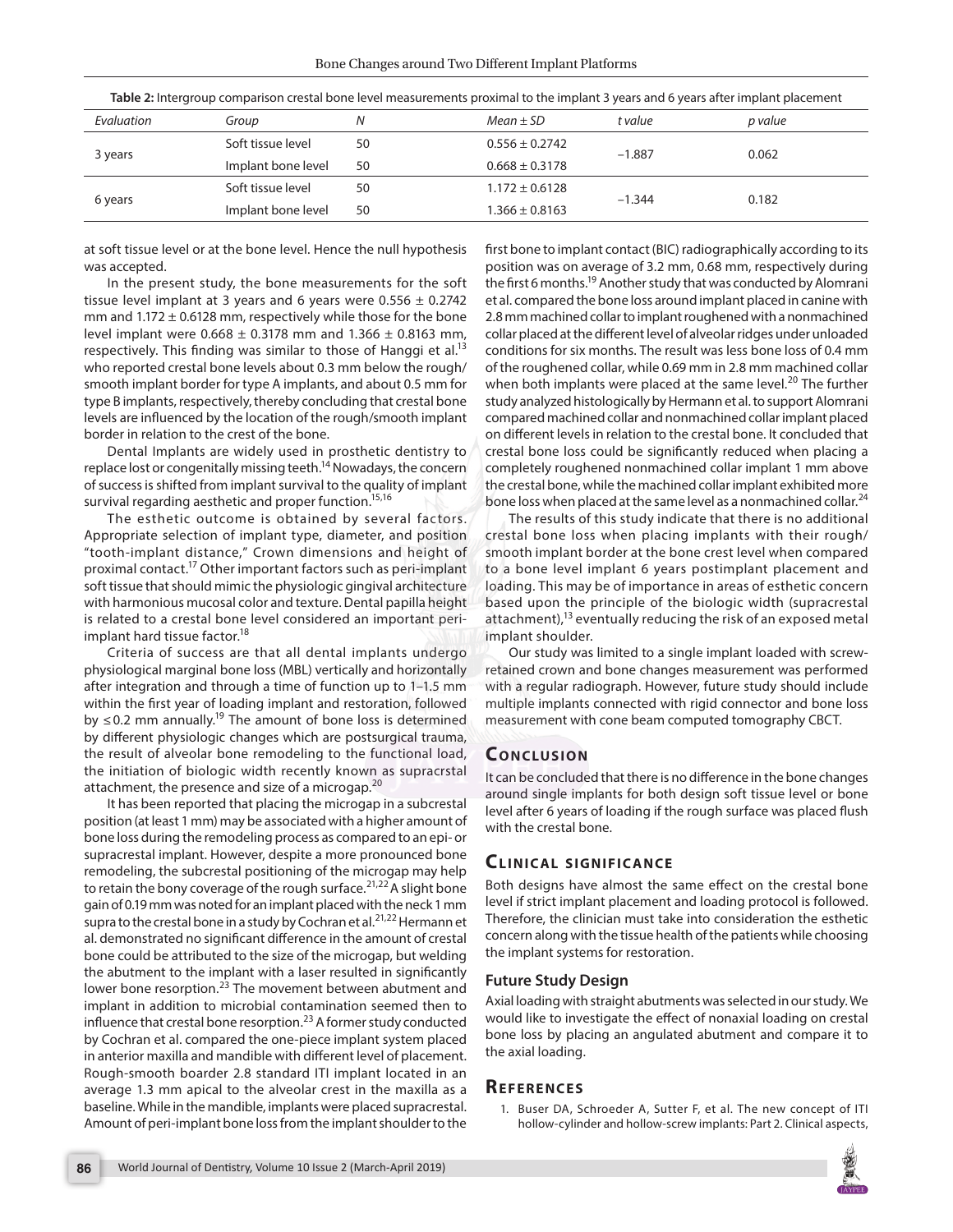| <b>Table 2.</b> Intergroup companion crestar bone revermicasarements proximarity are implaint 3 years and 0 years arter implaint placement |                    |    |                    |          |         |  |  |
|--------------------------------------------------------------------------------------------------------------------------------------------|--------------------|----|--------------------|----------|---------|--|--|
| Evaluation                                                                                                                                 | Group              | Ν  | $Mean \pm SD$      | t value  | p value |  |  |
| 3 years                                                                                                                                    | Soft tissue level  | 50 | $0.556 \pm 0.2742$ | $-1.887$ | 0.062   |  |  |
|                                                                                                                                            | Implant bone level | 50 | $0.668 \pm 0.3178$ |          |         |  |  |
| 6 years                                                                                                                                    | Soft tissue level  | 50 | $1.172 \pm 0.6128$ | $-1.344$ | 0.182   |  |  |
|                                                                                                                                            | Implant bone level | 50 | $1.366 \pm 0.8163$ |          |         |  |  |

**Table 2:** Intergroup comparison crestal bone level measurements proximal to the implant 3 years and 6 years after implant placement

at soft tissue level or at the bone level. Hence the null hypothesis was accepted.

In the present study, the bone measurements for the soft tissue level implant at 3 years and 6 years were  $0.556 \pm 0.2742$ mm and  $1.172 \pm 0.6128$  mm, respectively while those for the bone level implant were  $0.668 \pm 0.3178$  mm and  $1.366 \pm 0.8163$  mm, respectively. This finding was similar to those of Hanggi et al.<sup>13</sup> who reported crestal bone levels about 0.3 mm below the rough/ smooth implant border for type A implants, and about 0.5 mm for type B implants, respectively, thereby concluding that crestal bone levels are influenced by the location of the rough/smooth implant border in relation to the crest of the bone.

Dental Implants are widely used in prosthetic dentistry to replace lost or congenitally missing teeth.<sup>14</sup> Nowadays, the concern of success is shifted from implant survival to the quality of implant survival regarding aesthetic and proper function.<sup>15,16</sup>

The esthetic outcome is obtained by several factors. Appropriate selection of implant type, diameter, and position "tooth-implant distance," Crown dimensions and height of proximal contact.17 Other important factors such as peri-implant soft tissue that should mimic the physiologic gingival architecture with harmonious mucosal color and texture. Dental papilla height is related to a crestal bone level considered an important periimplant hard tissue factor.<sup>18</sup>

Criteria of success are that all dental implants undergo physiological marginal bone loss (MBL) vertically and horizontally after integration and through a time of function up to 1–1.5 mm within the first year of loading implant and restoration, followed by  $\leq$  0.2 mm annually.<sup>19</sup> The amount of bone loss is determined by different physiologic changes which are postsurgical trauma, the result of alveolar bone remodeling to the functional load, the initiation of biologic width recently known as supracrstal attachment, the presence and size of a microgap.<sup>20</sup>

It has been reported that placing the microgap in a subcrestal position (at least 1 mm) may be associated with a higher amount of bone loss during the remodeling process as compared to an epi- or supracrestal implant. However, despite a more pronounced bone remodeling, the subcrestal positioning of the microgap may help to retain the bony coverage of the rough surface.<sup>21,22</sup> A slight bone gain of 0.19 mm was noted for an implant placed with the neck 1 mm supra to the crestal bone in a study by Cochran et al.<sup>21,22</sup> Hermann et al. demonstrated no significant difference in the amount of crestal bone could be attributed to the size of the microgap, but welding the abutment to the implant with a laser resulted in significantly lower bone resorption.<sup>23</sup> The movement between abutment and implant in addition to microbial contamination seemed then to influence that crestal bone resorption.<sup>23</sup> A former study conducted by Cochran et al. compared the one-piece implant system placed in anterior maxilla and mandible with different level of placement. Rough-smooth boarder 2.8 standard ITI implant located in an average 1.3 mm apical to the alveolar crest in the maxilla as a baseline. While in the mandible, implants were placed supracrestal. Amount of peri-implant bone loss from the implant shoulder to the

first bone to implant contact (BIC) radiographically according to its position was on average of 3.2 mm, 0.68 mm, respectively during the first 6 months.<sup>19</sup> Another study that was conducted by Alomrani et al. compared the bone loss around implant placed in canine with 2.8 mm machined collar to implant roughened with a nonmachined collar placed at the different level of alveolar ridges under unloaded conditions for six months. The result was less bone loss of 0.4 mm of the roughened collar, while 0.69 mm in 2.8 mm machined collar when both implants were placed at the same level.<sup>20</sup> The further study analyzed histologically by Hermann et al. to support Alomrani compared machined collar and nonmachined collar implant placed on different levels in relation to the crestal bone. It concluded that crestal bone loss could be significantly reduced when placing a completely roughened nonmachined collar implant 1 mm above the crestal bone, while the machined collar implant exhibited more bone loss when placed at the same level as a nonmachined collar.<sup>24</sup>

The results of this study indicate that there is no additional crestal bone loss when placing implants with their rough/ smooth implant border at the bone crest level when compared to a bone level implant 6 years postimplant placement and loading. This may be of importance in areas of esthetic concern based upon the principle of the biologic width (supracrestal attachment), $13$  eventually reducing the risk of an exposed metal implant shoulder.

Our study was limited to a single implant loaded with screwretained crown and bone changes measurement was performed with a regular radiograph. However, future study should include multiple implants connected with rigid connector and bone loss measurement with cone beam computed tomography CBCT.

# **CONCLUSION**

It can be concluded that there is no difference in the bone changes around single implants for both design soft tissue level or bone level after 6 years of loading if the rough surface was placed flush with the crestal bone.

# **CLINICAL SIGNIFICANCE**

Both designs have almost the same effect on the crestal bone level if strict implant placement and loading protocol is followed. Therefore, the clinician must take into consideration the esthetic concern along with the tissue health of the patients while choosing the implant systems for restoration.

#### **Future Study Design**

Axial loading with straight abutments was selected in our study. We would like to investigate the effect of nonaxial loading on crestal bone loss by placing an angulated abutment and compare it to the axial loading.

# **Re f e r e n c e s**

1. Buser DA, Schroeder A, Sutter F, et al. The new concept of ITI hollow-cylinder and hollow-screw implants: Part 2. Clinical aspects,